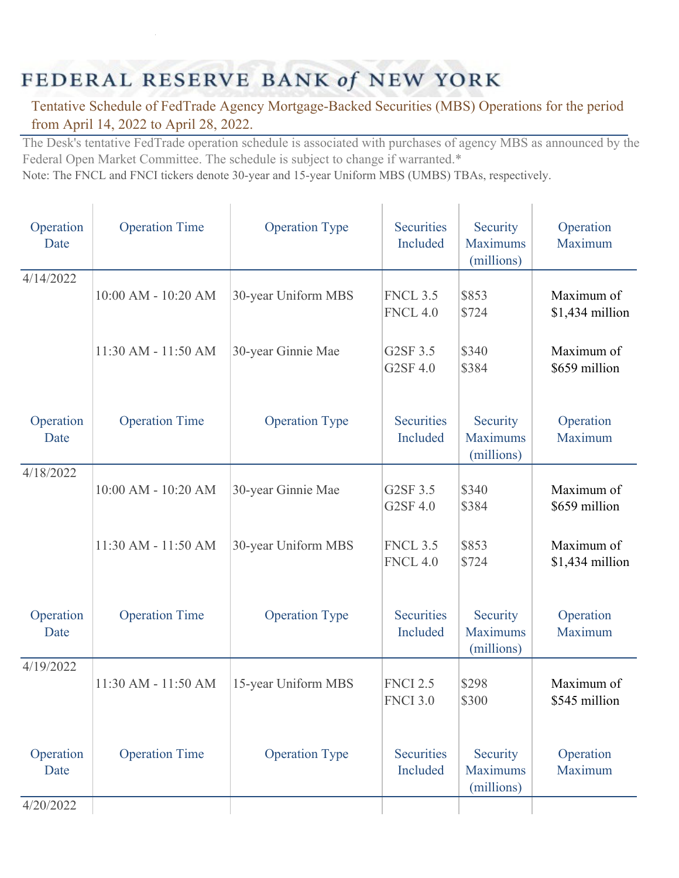## FEDERAL RESERVE BANK of NEW YORK

## Tentative Schedule of FedTrade Agency Mortgage-Backed Securities (MBS) Operations for the period from April 14, 2022 to April 28, 2022.

The Desk's tentative FedTrade operation schedule is associated with purchases of agency MBS as announced by the Federal Open Market Committee. The schedule is subject to change if warranted.\*

Note: The FNCL and FNCI tickers denote 30-year and 15-year Uniform MBS (UMBS) TBAs, respectively.

| Operation<br>Date | <b>Operation Time</b> | <b>Operation Type</b> | <b>Securities</b><br>Included      | Security<br><b>Maximums</b><br>(millions) | Operation<br>Maximum          |
|-------------------|-----------------------|-----------------------|------------------------------------|-------------------------------------------|-------------------------------|
| 4/14/2022         | 10:00 AM - 10:20 AM   | 30-year Uniform MBS   | <b>FNCL 3.5</b><br><b>FNCL 4.0</b> | \$853<br>\$724                            | Maximum of<br>\$1,434 million |
|                   | 11:30 AM - 11:50 AM   | 30-year Ginnie Mae    | G2SF 3.5<br>G2SF 4.0               | \$340<br>\$384                            | Maximum of<br>\$659 million   |
| Operation<br>Date | <b>Operation Time</b> | <b>Operation Type</b> | <b>Securities</b><br>Included      | Security<br><b>Maximums</b><br>(millions) | Operation<br>Maximum          |
| 4/18/2022         | 10:00 AM - 10:20 AM   | 30-year Ginnie Mae    | G2SF 3.5<br>G2SF 4.0               | \$340<br>\$384                            | Maximum of<br>\$659 million   |
|                   | 11:30 AM - 11:50 AM   | 30-year Uniform MBS   | <b>FNCL 3.5</b><br><b>FNCL 4.0</b> | \$853<br>\$724                            | Maximum of<br>\$1,434 million |
| Operation<br>Date | <b>Operation Time</b> | <b>Operation Type</b> | <b>Securities</b><br>Included      | Security<br><b>Maximums</b><br>(millions) | Operation<br>Maximum          |
| 4/19/2022         | 11:30 AM - 11:50 AM   | 15-year Uniform MBS   | <b>FNCI 2.5</b><br><b>FNCI 3.0</b> | \$298<br>\$300                            | Maximum of<br>\$545 million   |
| Operation<br>Date | <b>Operation Time</b> | <b>Operation Type</b> | <b>Securities</b><br>Included      | Security<br><b>Maximums</b><br>(millions) | Operation<br>Maximum          |
| 4/20/2022         |                       |                       |                                    |                                           |                               |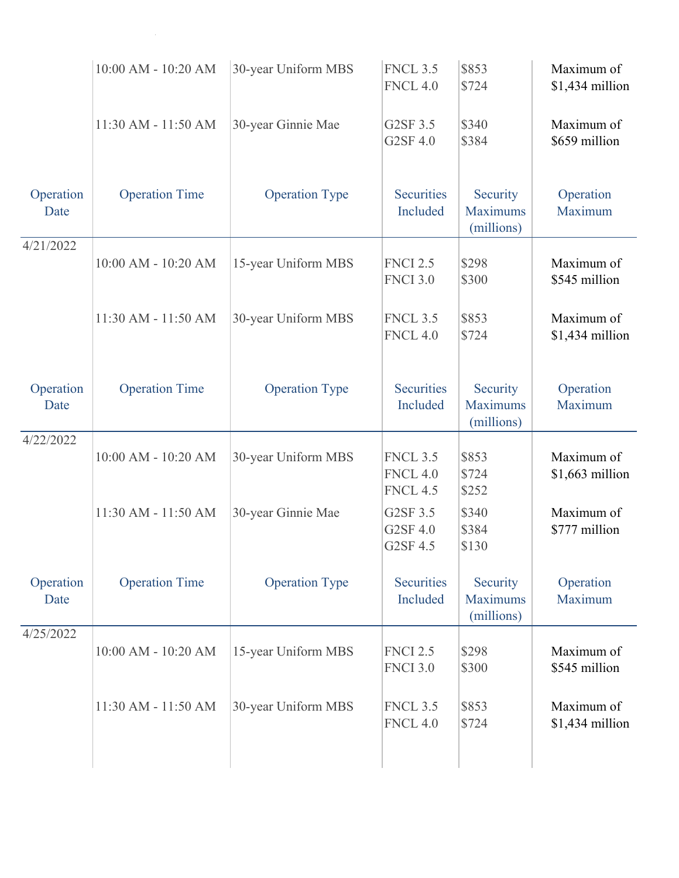|                   | 10:00 AM - 10:20 AM   | 30-year Uniform MBS   | <b>FNCL 3.5</b><br><b>FNCL 4.0</b>                    | \$853<br>\$724                            | Maximum of<br>\$1,434 million  |
|-------------------|-----------------------|-----------------------|-------------------------------------------------------|-------------------------------------------|--------------------------------|
|                   | 11:30 AM - 11:50 AM   | 30-year Ginnie Mae    | G2SF 3.5<br>G2SF 4.0                                  | \$340<br>\$384                            | Maximum of<br>\$659 million    |
| Operation<br>Date | <b>Operation Time</b> | <b>Operation Type</b> | <b>Securities</b><br>Included                         | Security<br><b>Maximums</b><br>(millions) | Operation<br>Maximum           |
| 4/21/2022         | 10:00 AM - 10:20 AM   | 15-year Uniform MBS   | <b>FNCI 2.5</b><br><b>FNCI 3.0</b>                    | \$298<br>\$300                            | Maximum of<br>\$545 million    |
|                   | 11:30 AM - 11:50 AM   | 30-year Uniform MBS   | <b>FNCL 3.5</b><br><b>FNCL 4.0</b>                    | \$853<br>\$724                            | Maximum of<br>\$1,434 million  |
| Operation<br>Date | <b>Operation Time</b> | <b>Operation Type</b> | <b>Securities</b><br>Included                         | Security<br><b>Maximums</b><br>(millions) | Operation<br>Maximum           |
| 4/22/2022         | 10:00 AM - 10:20 AM   | 30-year Uniform MBS   | <b>FNCL 3.5</b><br><b>FNCL 4.0</b><br><b>FNCL 4.5</b> | \$853<br>\$724<br>\$252                   | Maximum of<br>$$1,663$ million |
|                   | 11:30 AM - 11:50 AM   | 30-year Ginnie Mae    | G2SF 3.5<br>G2SF 4.0<br>G2SF 4.5                      | \$340<br>\$384<br>\$130                   | Maximum of<br>\$777 million    |
| Operation<br>Date | <b>Operation Time</b> | <b>Operation Type</b> | <b>Securities</b><br>Included                         | Security<br><b>Maximums</b><br>(millions) | Operation<br>Maximum           |
| 4/25/2022         | 10:00 AM - 10:20 AM   | 15-year Uniform MBS   | <b>FNCI 2.5</b><br><b>FNCI 3.0</b>                    | \$298<br>\$300                            | Maximum of<br>\$545 million    |
|                   | 11:30 AM - 11:50 AM   | 30-year Uniform MBS   | <b>FNCL 3.5</b><br><b>FNCL 4.0</b>                    | \$853<br>\$724                            | Maximum of<br>$$1,434$ million |
|                   |                       |                       |                                                       |                                           |                                |